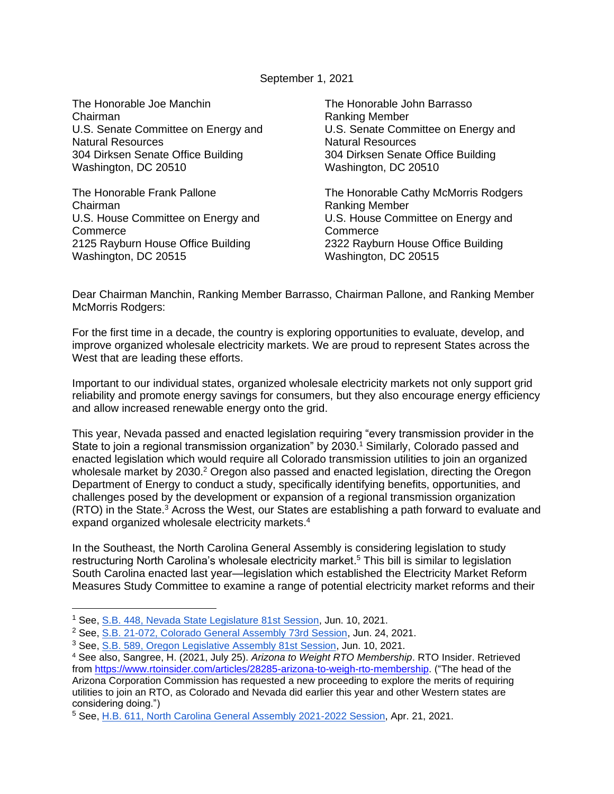## September 1, 2021

The Honorable Joe Manchin Chairman U.S. Senate Committee on Energy and Natural Resources 304 Dirksen Senate Office Building Washington, DC 20510

The Honorable Frank Pallone Chairman U.S. House Committee on Energy and **Commerce** 2125 Rayburn House Office Building Washington, DC 20515

The Honorable John Barrasso Ranking Member U.S. Senate Committee on Energy and Natural Resources 304 Dirksen Senate Office Building Washington, DC 20510

The Honorable Cathy McMorris Rodgers Ranking Member U.S. House Committee on Energy and **Commerce** 2322 Rayburn House Office Building Washington, DC 20515

Dear Chairman Manchin, Ranking Member Barrasso, Chairman Pallone, and Ranking Member McMorris Rodgers:

For the first time in a decade, the country is exploring opportunities to evaluate, develop, and improve organized wholesale electricity markets. We are proud to represent States across the West that are leading these efforts.

Important to our individual states, organized wholesale electricity markets not only support grid reliability and promote energy savings for consumers, but they also encourage energy efficiency and allow increased renewable energy onto the grid.

This year, Nevada passed and enacted legislation requiring "every transmission provider in the State to join a regional transmission organization" by 2030.<sup>1</sup> Similarly, Colorado passed and enacted legislation which would require all Colorado transmission utilities to join an organized wholesale market by 2030.<sup>2</sup> Oregon also passed and enacted legislation, directing the Oregon Department of Energy to conduct a study, specifically identifying benefits, opportunities, and challenges posed by the development or expansion of a regional transmission organization (RTO) in the State.<sup>3</sup> Across the West, our States are establishing a path forward to evaluate and expand organized wholesale electricity markets. 4

In the Southeast, the North Carolina General Assembly is considering legislation to study restructuring North Carolina's wholesale electricity market. <sup>5</sup> This bill is similar to legislation South Carolina enacted last year—legislation which established the Electricity Market Reform Measures Study Committee to examine a range of potential electricity market reforms and their

<sup>1</sup> See, [S.B. 448, Nevada State Legislature 81st Session,](https://www.leg.state.nv.us/App/NELIS/REL/81st2021/Bill/8201/Text) Jun. 10, 2021.

<sup>&</sup>lt;sup>2</sup> See, [S.B. 21-072, Colorado General Assembly 73rd Session,](https://leg.colorado.gov/sites/default/files/documents/2021A/bills/2021a_072_enr.pdf) Jun. 24, 2021.

<sup>3</sup> See, [S.B. 589, Oregon Legislative Assembly 81st Session,](https://olis.oregonlegislature.gov/liz/2021R1/Downloads/MeasureDocument/SB0589/Enrolled) Jun. 10, 2021.

<sup>4</sup> See also, Sangree, H. (2021, July 25). *Arizona to Weight RTO Membership*. RTO Insider. Retrieved from [https://www.rtoinsider.com/articles/28285-arizona-to-weigh-rto-membership.](https://www.rtoinsider.com/articles/28285-arizona-to-weigh-rto-membership) ("The head of the Arizona Corporation Commission has requested a new proceeding to explore the merits of requiring utilities to join an RTO, as Colorado and Nevada did earlier this year and other Western states are considering doing.")

<sup>5</sup> See, [H.B. 611, North Carolina General Assembly 2021-2022 Session,](https://www.ncleg.gov/Sessions/2021/Bills/House/PDF/H611v0.pdf) Apr. 21, 2021.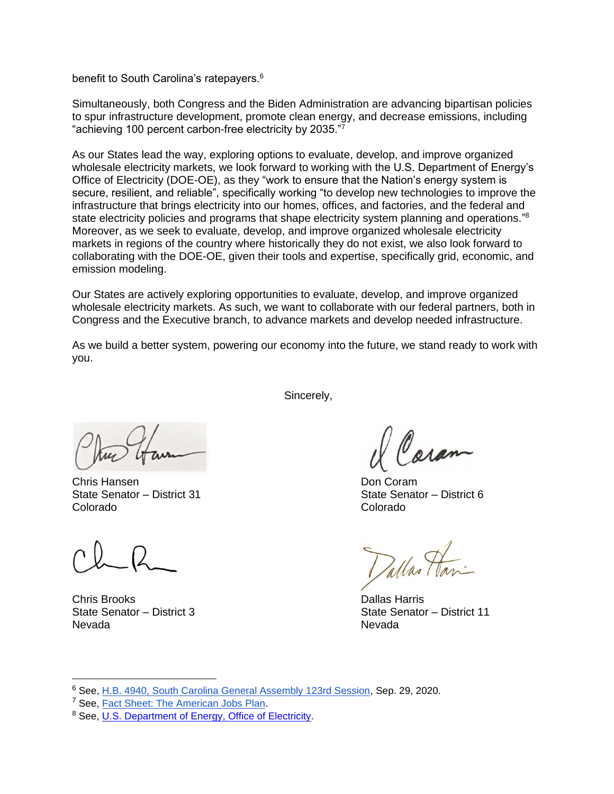benefit to South Carolina's ratepayers.<sup>6</sup>

Simultaneously, both Congress and the Biden Administration are advancing bipartisan policies to spur infrastructure development, promote clean energy, and decrease emissions, including "achieving 100 percent carbon-free electricity by 2035."<sup>7</sup>

As our States lead the way, exploring options to evaluate, develop, and improve organized wholesale electricity markets, we look forward to working with the U.S. Department of Energy's Office of Electricity (DOE-OE), as they "work to ensure that the Nation's energy system is secure, resilient, and reliable", specifically working "to develop new technologies to improve the infrastructure that brings electricity into our homes, offices, and factories, and the federal and state electricity policies and programs that shape electricity system planning and operations."<sup>8</sup> Moreover, as we seek to evaluate, develop, and improve organized wholesale electricity markets in regions of the country where historically they do not exist, we also look forward to collaborating with the DOE-OE, given their tools and expertise, specifically grid, economic, and emission modeling.

Our States are actively exploring opportunities to evaluate, develop, and improve organized wholesale electricity markets. As such, we want to collaborate with our federal partners, both in Congress and the Executive branch, to advance markets and develop needed infrastructure.

As we build a better system, powering our economy into the future, we stand ready to work with you.

Sincerely,

Chris Hansen Don Coram State Senator – District 31 State Senator – District 6 Colorado Colorado

Chris Brooks Dallas Harris Nevada Nevada

aran

State Senator – District 3 State Senator – District 11

<sup>6</sup> See, [H.B. 4940, South Carolina General Assembly 123rd Session,](https://www.scstatehouse.gov/sess123_2019-2020/bills/4940.htm) Sep. 29, 2020.

<sup>&</sup>lt;sup>7</sup> See, [Fact Sheet: The American Jobs Plan.](https://www.whitehouse.gov/briefing-room/statements-releases/2021/03/31/fact-sheet-the-american-jobs-plan/)

<sup>8</sup> See, [U.S. Department of Energy, Office of Electricity.](https://www.energy.gov/oe/about-office-electricity)